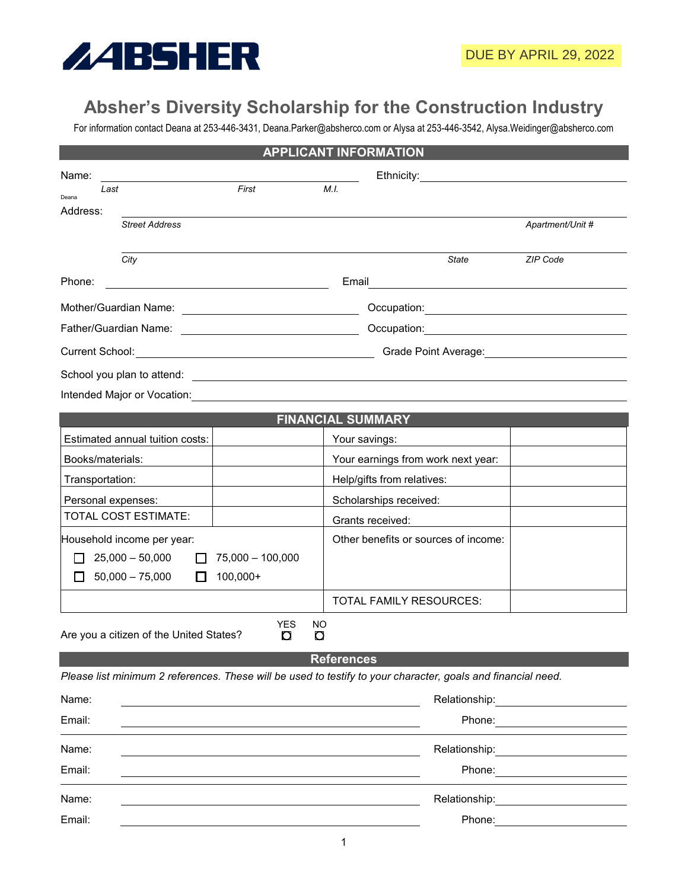

## **Absher's Diversity Scholarship for the Construction Industry**

For information contact Deana at 253-446-3431, Deana.Parker@absherco.com or Alysa at 253-446-3542, Alysa.Weidinger@absherco.com

| <b>APPLICANT INFORMATION</b>                                   |                    |                                                                                                                 |                                                                                                                                                                                                                                |
|----------------------------------------------------------------|--------------------|-----------------------------------------------------------------------------------------------------------------|--------------------------------------------------------------------------------------------------------------------------------------------------------------------------------------------------------------------------------|
| Name:                                                          |                    | Ethnicity:                                                                                                      |                                                                                                                                                                                                                                |
| Last<br>Deana                                                  | First              | M.I.                                                                                                            |                                                                                                                                                                                                                                |
| Address:<br><b>Street Address</b>                              |                    |                                                                                                                 | Apartment/Unit #                                                                                                                                                                                                               |
|                                                                |                    |                                                                                                                 |                                                                                                                                                                                                                                |
| City                                                           |                    | State                                                                                                           | ZIP Code                                                                                                                                                                                                                       |
| Phone:                                                         |                    | Email<br><u> 1989 - John Stone, Amerikaansk politiker (</u>                                                     |                                                                                                                                                                                                                                |
|                                                                |                    |                                                                                                                 |                                                                                                                                                                                                                                |
| Father/Guardian Name:                                          |                    |                                                                                                                 |                                                                                                                                                                                                                                |
|                                                                |                    | Grade Point Average: Manual Art Average and Average and Average and Average and Average and Average and Average |                                                                                                                                                                                                                                |
|                                                                |                    |                                                                                                                 |                                                                                                                                                                                                                                |
|                                                                |                    | Intended Major or Vocation: Marian Content Content of Major Content of Major or Vocation:                       |                                                                                                                                                                                                                                |
|                                                                |                    | <b>FINANCIAL SUMMARY</b>                                                                                        |                                                                                                                                                                                                                                |
| Estimated annual tuition costs:                                |                    | Your savings:                                                                                                   |                                                                                                                                                                                                                                |
| Books/materials:                                               |                    | Your earnings from work next year:                                                                              |                                                                                                                                                                                                                                |
| Transportation:                                                |                    | Help/gifts from relatives:                                                                                      |                                                                                                                                                                                                                                |
| Personal expenses:                                             |                    | Scholarships received:                                                                                          |                                                                                                                                                                                                                                |
| <b>TOTAL COST ESTIMATE:</b>                                    |                    | Grants received:                                                                                                |                                                                                                                                                                                                                                |
| Household income per year:                                     |                    | Other benefits or sources of income:                                                                            |                                                                                                                                                                                                                                |
| $25,000 - 50,000$                                              | $75,000 - 100,000$ |                                                                                                                 |                                                                                                                                                                                                                                |
| $50,000 - 75,000$<br>$\mathbf{I}$                              | $100,000+$         |                                                                                                                 |                                                                                                                                                                                                                                |
|                                                                |                    | TOTAL FAMILY RESOURCES:                                                                                         |                                                                                                                                                                                                                                |
| YES<br>ΝO<br>Are you a citizen of the United States?<br>O<br>O |                    |                                                                                                                 |                                                                                                                                                                                                                                |
| <b>References</b>                                              |                    |                                                                                                                 |                                                                                                                                                                                                                                |
|                                                                |                    | Please list minimum 2 references. These will be used to testify to your character, goals and financial need.    |                                                                                                                                                                                                                                |
| Name:                                                          |                    |                                                                                                                 | Relationship: example and the set of the set of the set of the set of the set of the set of the set of the set of the set of the set of the set of the set of the set of the set of the set of the set of the set of the set o |
| Email:                                                         |                    |                                                                                                                 | Phone: _________________________                                                                                                                                                                                               |
| Name:                                                          |                    | Relationship:                                                                                                   |                                                                                                                                                                                                                                |
| Email:                                                         |                    |                                                                                                                 | Phone: <u>________________________________</u>                                                                                                                                                                                 |
| Name:                                                          |                    | Relationship:                                                                                                   | <u> 1980 - Jan Stein Stein Stein Stein Stein Stein Stein Stein Stein Stein Stein Stein Stein Stein Stein Stein S</u>                                                                                                           |
| Email:                                                         |                    |                                                                                                                 |                                                                                                                                                                                                                                |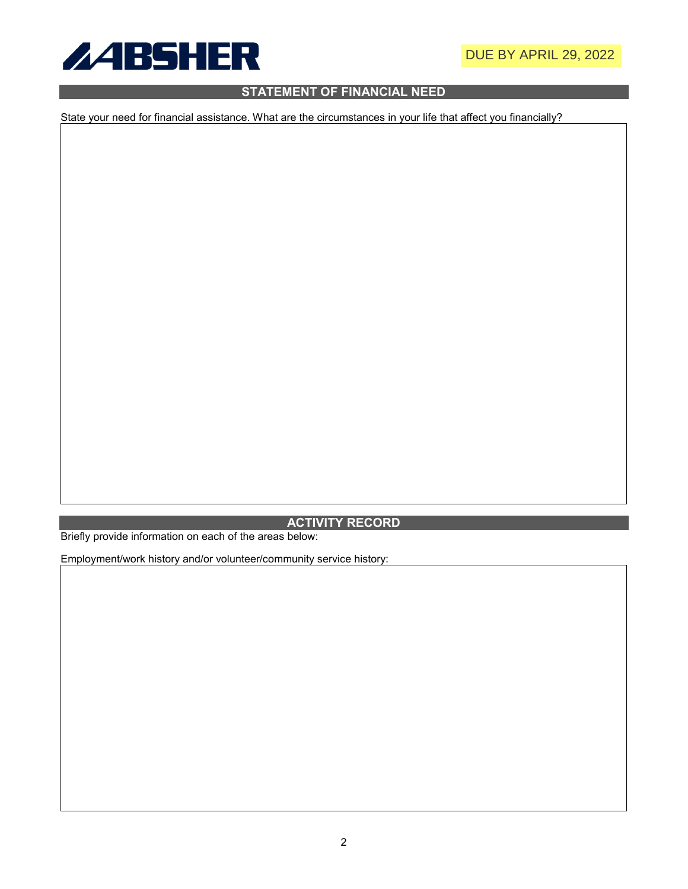

## **STATEMENT OF FINANCIAL NEED**

State your need for financial assistance. What are the circumstances in your life that affect you financially?

## **ACTIVITY RECORD**

Briefly provide information on each of the areas below:

Employment/work history and/or volunteer/community service history: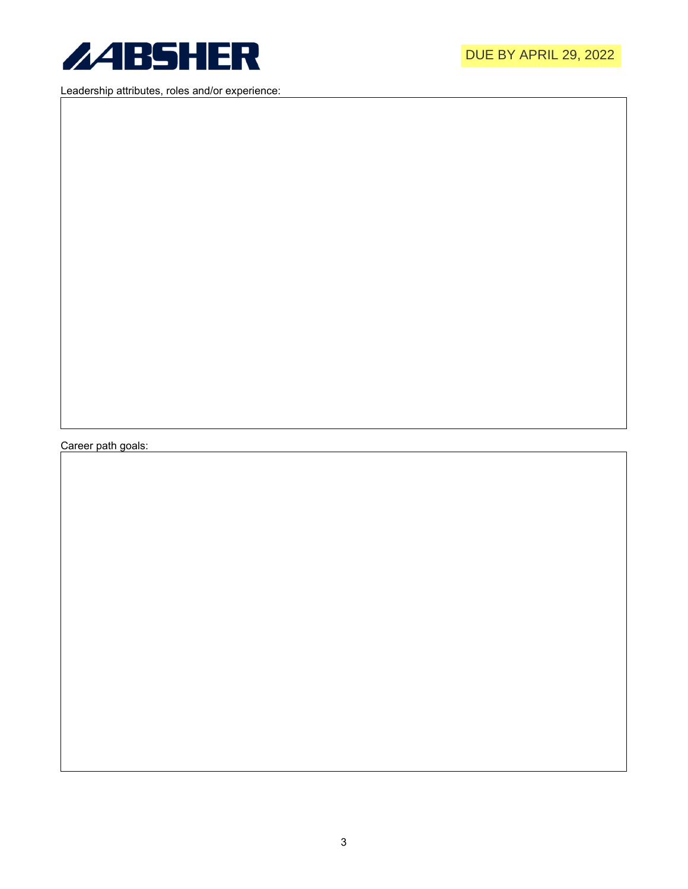

Leadership attributes, roles and/or experience:

Career path goals: